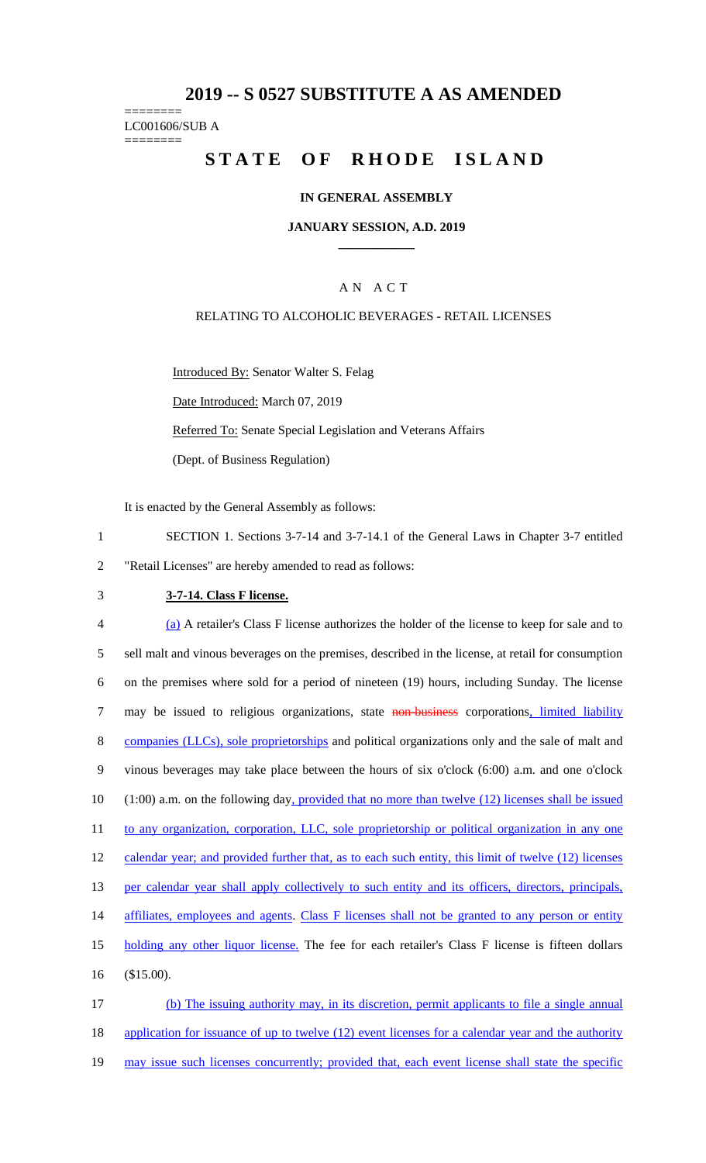## **2019 -- S 0527 SUBSTITUTE A AS AMENDED**

======== LC001606/SUB A ========

# **STATE OF RHODE ISLAND**

### **IN GENERAL ASSEMBLY**

#### **JANUARY SESSION, A.D. 2019 \_\_\_\_\_\_\_\_\_\_\_\_**

### A N A C T

### RELATING TO ALCOHOLIC BEVERAGES - RETAIL LICENSES

Introduced By: Senator Walter S. Felag

Date Introduced: March 07, 2019

Referred To: Senate Special Legislation and Veterans Affairs

(Dept. of Business Regulation)

It is enacted by the General Assembly as follows:

- 1 SECTION 1. Sections 3-7-14 and 3-7-14.1 of the General Laws in Chapter 3-7 entitled 2 "Retail Licenses" are hereby amended to read as follows:
- 

### 3 **3-7-14. Class F license.**

4 (a) A retailer's Class F license authorizes the holder of the license to keep for sale and to 5 sell malt and vinous beverages on the premises, described in the license, at retail for consumption 6 on the premises where sold for a period of nineteen (19) hours, including Sunday. The license 7 may be issued to religious organizations, state non-business corporations, limited liability 8 companies (LLCs), sole proprietorships and political organizations only and the sale of malt and 9 vinous beverages may take place between the hours of six o'clock (6:00) a.m. and one o'clock 10 (1:00) a.m. on the following day, provided that no more than twelve (12) licenses shall be issued 11 to any organization, corporation, LLC, sole proprietorship or political organization in any one 12 calendar year; and provided further that, as to each such entity, this limit of twelve (12) licenses 13 per calendar year shall apply collectively to such entity and its officers, directors, principals, 14 affiliates, employees and agents. Class F licenses shall not be granted to any person or entity 15 holding any other liquor license. The fee for each retailer's Class F license is fifteen dollars 16 (\$15.00). 17 (b) The issuing authority may, in its discretion, permit applicants to file a single annual

18 application for issuance of up to twelve (12) event licenses for a calendar year and the authority

19 may issue such licenses concurrently; provided that, each event license shall state the specific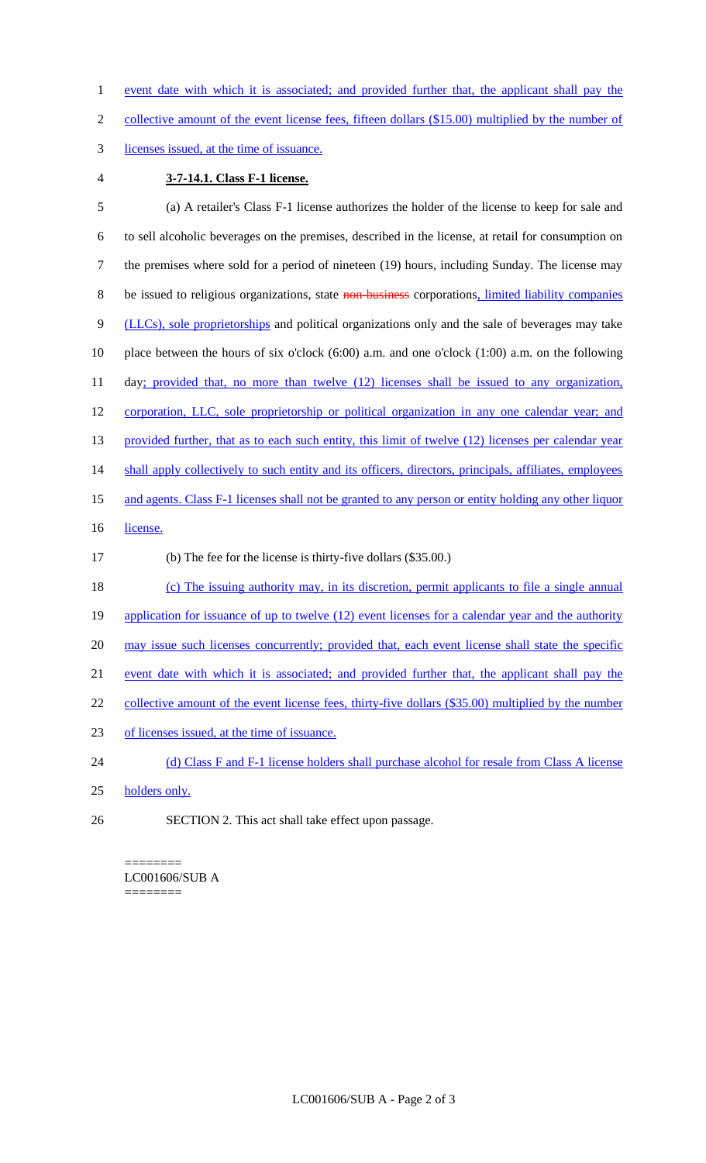1 event date with which it is associated; and provided further that, the applicant shall pay the

2 collective amount of the event license fees, fifteen dollars (\$15.00) multiplied by the number of

- 3 licenses issued, at the time of issuance.
- 

### 4 **3-7-14.1. Class F-1 license.**

5 (a) A retailer's Class F-1 license authorizes the holder of the license to keep for sale and 6 to sell alcoholic beverages on the premises, described in the license, at retail for consumption on 7 the premises where sold for a period of nineteen (19) hours, including Sunday. The license may 8 be issued to religious organizations, state non-business corporations, limited liability companies 9 (LLCs), sole proprietorships and political organizations only and the sale of beverages may take 10 place between the hours of six o'clock (6:00) a.m. and one o'clock (1:00) a.m. on the following 11 day; provided that, no more than twelve (12) licenses shall be issued to any organization, 12 corporation, LLC, sole proprietorship or political organization in any one calendar year; and 13 provided further, that as to each such entity, this limit of twelve (12) licenses per calendar year 14 shall apply collectively to such entity and its officers, directors, principals, affiliates, employees 15 and agents. Class F-1 licenses shall not be granted to any person or entity holding any other liquor 16 license. 17 (b) The fee for the license is thirty-five dollars (\$35.00.) 18 (c) The issuing authority may, in its discretion, permit applicants to file a single annual 19 application for issuance of up to twelve (12) event licenses for a calendar year and the authority 20 may issue such licenses concurrently; provided that, each event license shall state the specific 21 event date with which it is associated; and provided further that, the applicant shall pay the 22 collective amount of the event license fees, thirty-five dollars (\$35.00) multiplied by the number 23 of licenses issued, at the time of issuance. 24 (d) Class F and F-1 license holders shall purchase alcohol for resale from Class A license 25 holders only. 26 SECTION 2. This act shall take effect upon passage.

#### ======== LC001606/SUB A ========